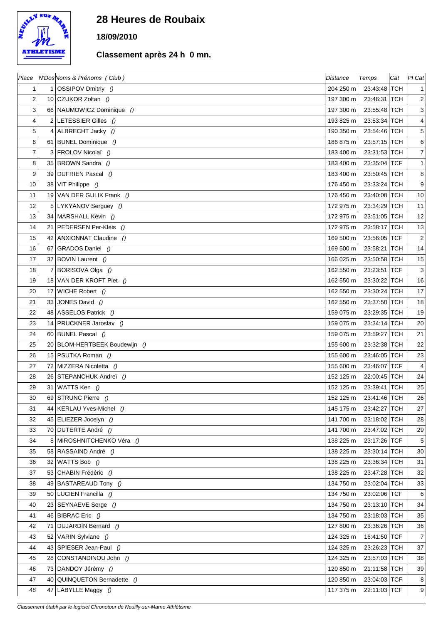

## **28 Heures de Roubaix**

## **18/09/2010**

## **Classement après 24 h 0 mn.**

| Place          |    | N'DosNoms & Prénoms (Club)    | <b>Distance</b> | Temps        | Cat        | $PI$ Cat                  |
|----------------|----|-------------------------------|-----------------|--------------|------------|---------------------------|
| 1              |    | 1 OSSIPOV Dmitriy ()          | 204 250 m       | 23:43:48 TCH |            | $\mathbf{1}$              |
| $\overline{c}$ |    | 10 CZUKOR Zoltan ()           | 197 300 m       | 23:46:31 TCH |            | $\boldsymbol{2}$          |
| 3              |    | 66 NAUMOWICZ Dominique ()     | 197 300 m       | 23:55:48 TCH |            | $\ensuremath{\mathsf{3}}$ |
| 4              |    | 2 LETESSIER Gilles $()$       | 193 825 m       | 23:53:34 TCH |            | $\overline{4}$            |
| 5              |    | 4 ALBRECHT Jacky ()           | 190 350 m       | 23:54:46 TCH |            | $\,$ 5 $\,$               |
| 6              |    | 61 BUNEL Dominique ()         | 186 875 m       | 23:57:15 TCH |            | 6                         |
| 7              |    | 3 FROLOV Nicolaï ()           | 183 400 m       | 23:31:53 TCH |            | $\boldsymbol{7}$          |
| 8              |    | 35 BROWN Sandra ()            | 183 400 m       | 23:35:04 TCF |            | $\mathbf{1}$              |
| 9              |    | 39 DUFRIEN Pascal ()          | 183 400 m       | 23:50:45 TCH |            | 8                         |
| 10             |    | 38 VIT Philippe $()$          | 176 450 m       | 23:33:24 TCH |            | $\boldsymbol{9}$          |
| 11             |    | 19 VAN DER GULIK Frank ()     | 176 450 m       | 23:40:08 TCH |            | 10                        |
| 12             |    | 5 LYKYANOV Serguey ()         | 172 975 m       | 23:34:29 TCH |            | 11                        |
| 13             |    | 34 MARSHALL Kévin ()          | 172 975 m       | 23:51:05 TCH |            | 12                        |
| 14             |    | 21 PEDERSEN Per-Kleis ()      | 172 975 m       | 23:58:17 TCH |            | 13                        |
| 15             |    | 42 ANXIONNAT Claudine ()      | 169 500 m       | 23:56:05 TCF |            | $\overline{2}$            |
| 16             |    | 67 GRADOS Daniel ()           | 169 500 m       | 23:58:21     | <b>TCH</b> | 14                        |
| 17             |    | 37 BOVIN Laurent ()           | 166 025 m       | 23:50:58 TCH |            | 15                        |
| 18             | 7  | BORISOVA Olga ()              | 162 550 m       | 23:23:51 TCF |            | $\ensuremath{\mathsf{3}}$ |
| 19             |    | 18 VAN DER KROFT Piet ()      | 162 550 m       | 23:30:22 TCH |            | 16                        |
| 20             |    | 17 WICHE Robert ()            | 162 550 m       | 23:30:24 TCH |            | 17                        |
| 21             |    | 33 JONES David $()$           | 162 550 m       | 23:37:50 TCH |            | 18                        |
| 22             |    | 48 ASSELOS Patrick ()         | 159 075 m       | 23:29:35 TCH |            | 19                        |
| 23             |    | 14 PRUCKNER Jaroslav ()       | 159 075 m       | 23:34:14 TCH |            | 20                        |
| 24             |    | 60 BUNEL Pascal ()            | 159 075 m       | 23:59:27 TCH |            | 21                        |
| 25             |    | 20 BLOM-HERTBEEK Boudewijn () | 155 600 m       | 23:32:38 TCH |            | 22                        |
| 26             |    | 15 PSUTKA Roman ()            | 155 600 m       | 23:46:05 TCH |            | 23                        |
| 27             |    | 72 MIZZERA Nicoletta ()       | 155 600 m       | 23:46:07 TCF |            | 4                         |
| 28             |    | 26 STEPANCHUK Andreï ()       | 152 125 m       | 22:00:45 TCH |            | 24                        |
| 29             |    | 31   WATTS Ken $()$           | 152 125 m       | 23:39:41 TCH |            | 25                        |
| 30             |    | 69 STRUNC Pierre ()           | 152 125 m       | 23:41:46 TCH |            | 26                        |
| 31             |    | 44   KERLAU Yves-Michel ()    | 145 175 m       | 23:42:27 TCH |            | 27                        |
| 32             |    | 45 ELIEZER Jocelyn ()         | 141 700 m       | 23:18:02 TCH |            | 28                        |
| 33             |    | 70 DUTERTE André ()           | 141 700 m       | 23:47:02 TCH |            | 29                        |
| 34             |    | 8 MIROSHNITCHENKO Véra ()     | 138 225 m       | 23:17:26 TCF |            | 5                         |
| 35             |    | 58 RASSAIND André ()          | 138 225 m       | 23:30:14 TCH |            | 30                        |
| 36             | 32 | WATTS Bob ()                  | 138 225 m       | 23:36:34 TCH |            | 31                        |
| 37             |    | 53 CHABIN Frédéric ()         | 138 225 m       | 23:47:28 TCH |            | 32                        |
| 38             |    | 49 BASTAREAUD Tony ()         | 134 750 m       | 23:02:04 TCH |            | 33                        |
| 39             |    | 50 LUCIEN Francilla ()        | 134 750 m       | 23:02:06 TCF |            | 6                         |
| 40             |    | 23 SEYNAEVE Serge ()          | 134 750 m       | 23:13:10 TCH |            | 34                        |
| 41             |    | 46 BIBRAC Eric $()$           | 134 750 m       | 23:18:03 TCH |            | 35                        |
| 42             |    | 71 DUJARDIN Bernard ()        | 127 800 m       | 23:36:26 TCH |            | 36                        |
| 43             |    | 52 VARIN Sylviane ()          | 124 325 m       | 16:41:50 TCF |            | $\overline{7}$            |
| 44             |    | 43 SPIESER Jean-Paul ()       | 124 325 m       | 23:26:23 TCH |            | 37                        |
| 45             |    | 28 CONSTANDINOU John ()       | 124 325 m       | 23:57:03 TCH |            | 38                        |
| 46             | 73 | DANDOY Jérémy ()              | 120 850 m       | 21:11:58 TCH |            | 39                        |
| 47             |    | 40 QUINQUETON Bernadette ()   | 120 850 m       | 23:04:03 TCF |            | 8                         |
| 48             | 47 | LABYLLE Maggy ()              | 117 375 m       | 22:11:03 TCF |            | 9                         |